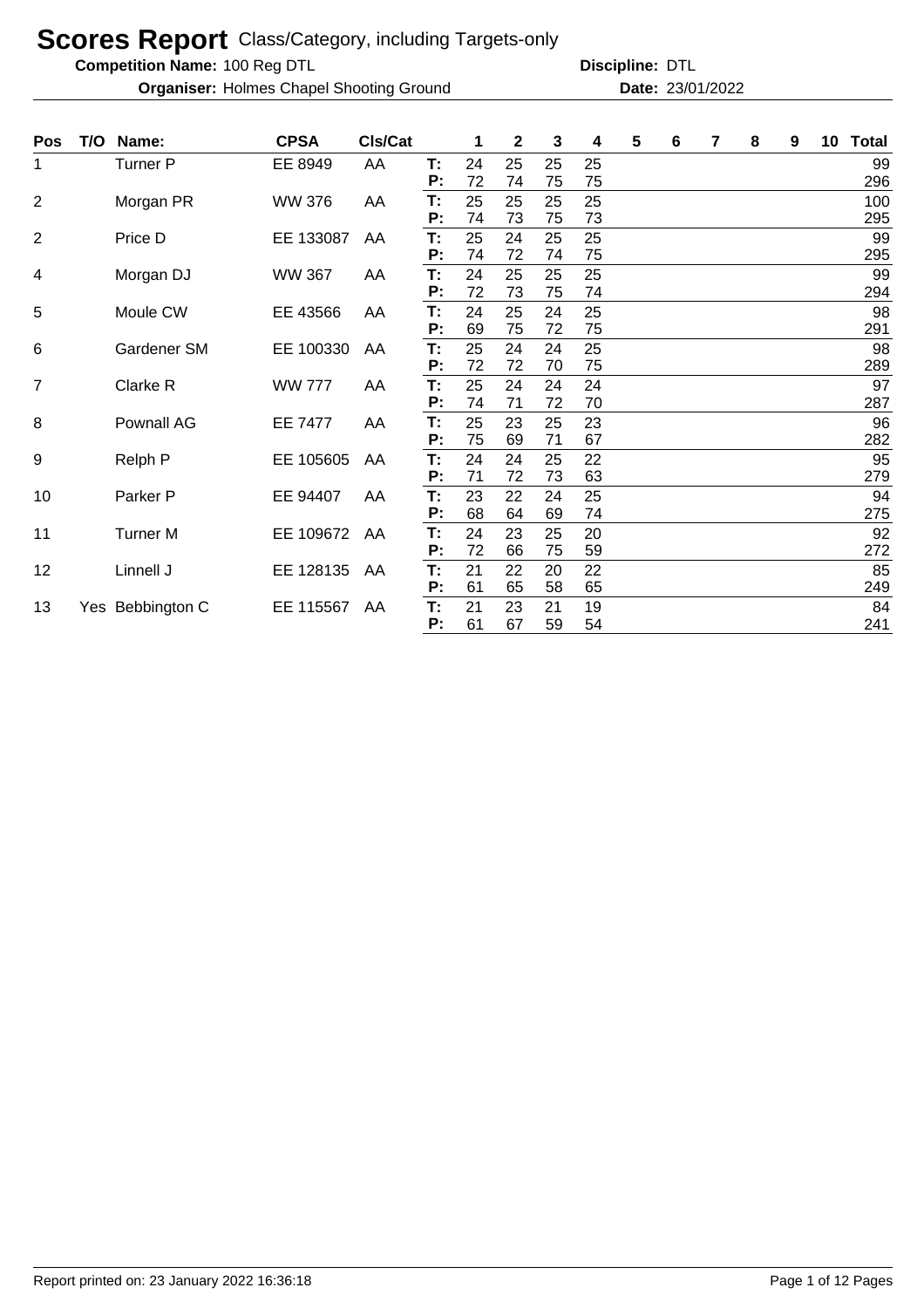**Competition Name:**

**Organiser:** Holmes Chapel Shooting Ground **23/01/2022 Date:** 23/01/2022

| Pos            | T/O | Name:            | <b>CPSA</b>   | CIs/Cat |    | 1  | $\mathbf 2$ | 3  | 4  | 5 | 6 | 7 | 8 | 9 | 10 <sub>1</sub> | <b>Total</b> |
|----------------|-----|------------------|---------------|---------|----|----|-------------|----|----|---|---|---|---|---|-----------------|--------------|
| 1              |     | Turner P         | EE 8949       | AA      | T: | 24 | 25          | 25 | 25 |   |   |   |   |   |                 | 99           |
|                |     |                  |               |         | P: | 72 | 74          | 75 | 75 |   |   |   |   |   |                 | 296          |
| $\overline{2}$ |     | Morgan PR        | <b>WW 376</b> | AA      | T: | 25 | 25          | 25 | 25 |   |   |   |   |   |                 | 100          |
|                |     |                  |               |         | P: | 74 | 73          | 75 | 73 |   |   |   |   |   |                 | 295          |
| $\overline{2}$ |     | Price D          | EE 133087     | AA      | T: | 25 | 24          | 25 | 25 |   |   |   |   |   |                 | 99           |
|                |     |                  |               |         | P: | 74 | 72          | 74 | 75 |   |   |   |   |   |                 | 295          |
| 4              |     | Morgan DJ        | <b>WW 367</b> | AA      | T: | 24 | 25          | 25 | 25 |   |   |   |   |   |                 | 99           |
|                |     |                  |               |         | P: | 72 | 73          | 75 | 74 |   |   |   |   |   |                 | 294          |
| 5              |     | Moule CW         | EE 43566      | AA      | T: | 24 | 25          | 24 | 25 |   |   |   |   |   |                 | 98           |
|                |     |                  |               |         | P: | 69 | 75          | 72 | 75 |   |   |   |   |   |                 | 291          |
| 6              |     | Gardener SM      | EE 100330     | AA      | T: | 25 | 24          | 24 | 25 |   |   |   |   |   |                 | 98           |
|                |     |                  |               |         | P: | 72 | 72          | 70 | 75 |   |   |   |   |   |                 | 289          |
| 7              |     | Clarke R         | <b>WW 777</b> | AA      | T: | 25 | 24          | 24 | 24 |   |   |   |   |   |                 | 97           |
|                |     |                  |               |         | P: | 74 | 71          | 72 | 70 |   |   |   |   |   |                 | 287          |
| 8              |     | Pownall AG       | EE 7477       | AA      | T: | 25 | 23          | 25 | 23 |   |   |   |   |   |                 | 96           |
|                |     |                  |               |         | P: | 75 | 69          | 71 | 67 |   |   |   |   |   |                 | 282          |
| 9              |     | Relph P          | EE 105605     | AA      | T: | 24 | 24          | 25 | 22 |   |   |   |   |   |                 | 95           |
|                |     |                  |               |         | P: | 71 | 72          | 73 | 63 |   |   |   |   |   |                 | 279          |
| 10             |     | Parker P         | EE 94407      | AA      | T: | 23 | 22          | 24 | 25 |   |   |   |   |   |                 | 94           |
|                |     |                  |               |         | P: | 68 | 64          | 69 | 74 |   |   |   |   |   |                 | 275          |
| 11             |     | <b>Turner M</b>  | EE 109672     | AA      | T: | 24 | 23          | 25 | 20 |   |   |   |   |   |                 | 92           |
|                |     |                  |               |         | P: | 72 | 66          | 75 | 59 |   |   |   |   |   |                 | 272          |
| 12             |     | Linnell J        | EE 128135     | AA      | T: | 21 | 22          | 20 | 22 |   |   |   |   |   |                 | 85           |
|                |     |                  |               |         | P: | 61 | 65          | 58 | 65 |   |   |   |   |   |                 | 249          |
| 13             |     | Yes Bebbington C | EE 115567     | AA      | T: | 21 | 23          | 21 | 19 |   |   |   |   |   |                 | 84           |
|                |     |                  |               |         | P: | 61 | 67          | 59 | 54 |   |   |   |   |   |                 | 241          |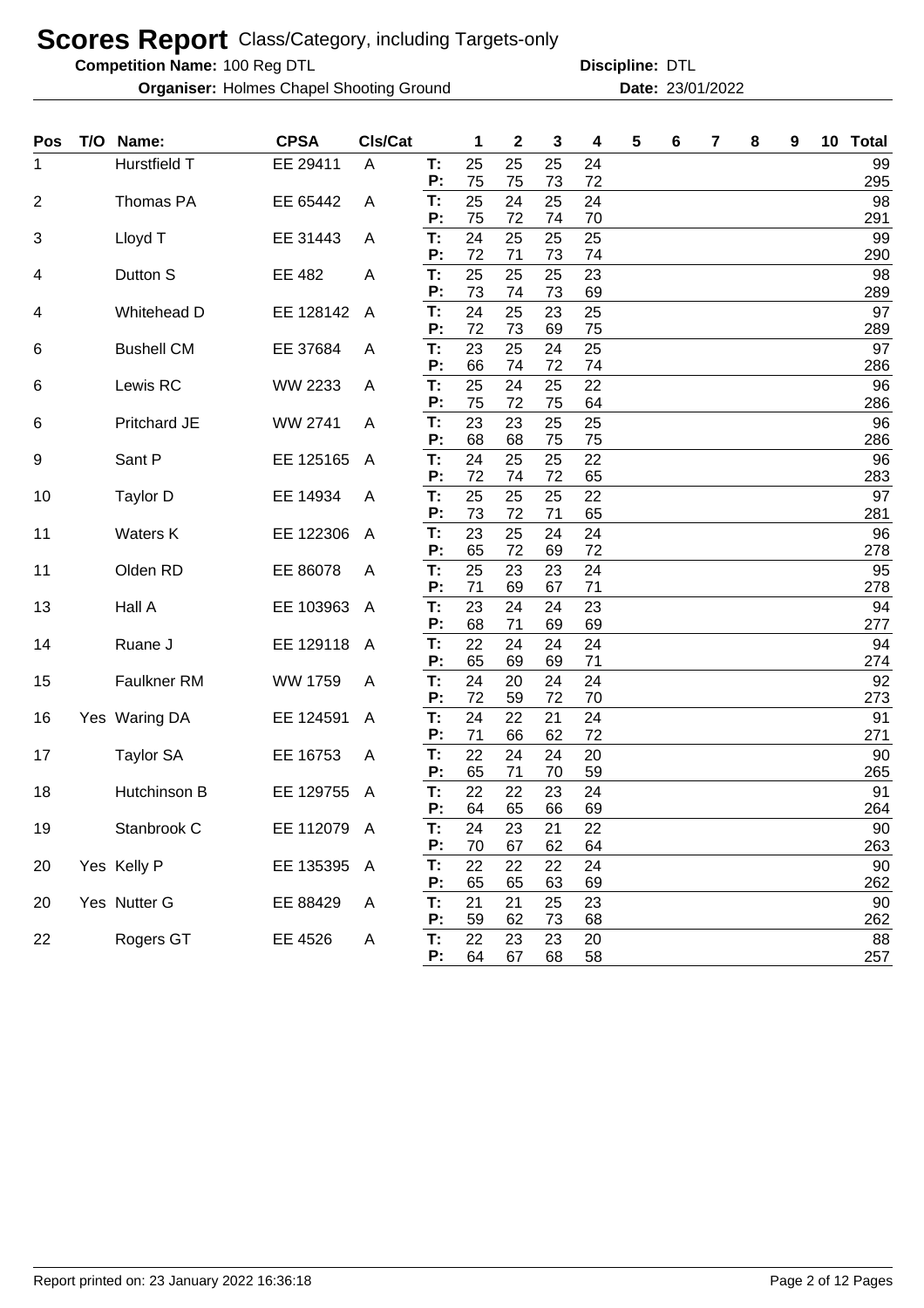**Competition Name:**

**Organiser:** Holmes Chapel Shooting Ground **23/01/2022 Date:** 23/01/2022

| Pos | T/O | Name:             | <b>CPSA</b> | CIs/Cat        |          | 1        | 2        | 3        | 4        | 5 | 6 | 7 | 8 | 9 | 10 | <b>Total</b>  |
|-----|-----|-------------------|-------------|----------------|----------|----------|----------|----------|----------|---|---|---|---|---|----|---------------|
| 1   |     | Hurstfield T      | EE 29411    | A              | T:       | 25       | 25       | 25       | 24       |   |   |   |   |   |    | 99            |
|     |     |                   |             |                | P:       | 75       | 75       | 73       | 72       |   |   |   |   |   |    | 295           |
| 2   |     | Thomas PA         | EE 65442    | A              | T:       | 25       | 24       | 25       | 24       |   |   |   |   |   |    | 98            |
|     |     |                   |             |                | P:       | 75       | 72       | 74       | 70       |   |   |   |   |   |    | 291<br>99     |
| 3   |     | Lloyd T           | EE 31443    | A              | T:<br>P: | 24<br>72 | 25<br>71 | 25<br>73 | 25<br>74 |   |   |   |   |   |    | 290           |
| 4   |     | Dutton S          | EE 482      | A              | T:       | 25       | 25       | 25       | 23       |   |   |   |   |   |    | 98            |
|     |     |                   |             |                | P:       | 73       | 74       | 73       | 69       |   |   |   |   |   |    | 289           |
| 4   |     | Whitehead D       | EE 128142   | A              | T:       | 24       | 25       | 23       | 25       |   |   |   |   |   |    | 97            |
|     |     |                   |             |                | Р:       | 72       | 73       | 69       | 75       |   |   |   |   |   |    | 289           |
| 6   |     | <b>Bushell CM</b> | EE 37684    | A              | T:       | 23       | 25       | 24       | 25       |   |   |   |   |   |    | 97            |
|     |     |                   |             |                | Р:       | 66       | 74       | 72       | 74       |   |   |   |   |   |    | 286           |
| 6   |     | Lewis RC          | WW 2233     | A              | T:<br>Р: | 25<br>75 | 24<br>72 | 25<br>75 | 22<br>64 |   |   |   |   |   |    | 96<br>286     |
| 6   |     | Pritchard JE      | WW 2741     | A              | T:       | 23       | 23       | 25       | 25       |   |   |   |   |   |    | 96            |
|     |     |                   |             |                | Р:       | 68       | 68       | 75       | 75       |   |   |   |   |   |    | 286           |
| 9   |     | Sant P            | EE 125165   | A              | T:       | 24       | 25       | 25       | 22       |   |   |   |   |   |    | 96            |
|     |     |                   |             |                | P:       | 72       | 74       | 72       | 65       |   |   |   |   |   |    | 283           |
| 10  |     | Taylor D          | EE 14934    | A              | T:       | 25       | 25       | 25       | 22       |   |   |   |   |   |    | 97            |
|     |     |                   |             |                | P:       | 73       | 72       | 71       | 65       |   |   |   |   |   |    | 281           |
| 11  |     | <b>Waters K</b>   | EE 122306   | A              | T:<br>P: | 23<br>65 | 25<br>72 | 24<br>69 | 24<br>72 |   |   |   |   |   |    | 96<br>278     |
| 11  |     | Olden RD          | EE 86078    | A              | T:       | 25       | 23       | 23       | 24       |   |   |   |   |   |    | 95            |
|     |     |                   |             |                | P:       | 71       | 69       | 67       | 71       |   |   |   |   |   |    | 278           |
| 13  |     | Hall A            | EE 103963   | A              | T:       | 23       | 24       | 24       | 23       |   |   |   |   |   |    | 94            |
|     |     |                   |             |                | P:       | 68       | 71       | 69       | 69       |   |   |   |   |   |    | 277           |
| 14  |     | Ruane J           | EE 129118   | A              | T:       | 22       | 24       | 24       | 24       |   |   |   |   |   |    | 94            |
|     |     |                   |             |                | P:       | 65       | 69       | 69       | 71       |   |   |   |   |   |    | 274           |
| 15  |     | Faulkner RM       | WW 1759     | A              | T:<br>P: | 24<br>72 | 20<br>59 | 24<br>72 | 24<br>70 |   |   |   |   |   |    | 92<br>273     |
| 16  |     | Yes Waring DA     | EE 124591   | A              | T:       | 24       | 22       | 21       | 24       |   |   |   |   |   |    | 91            |
|     |     |                   |             |                | P:       | 71       | 66       | 62       | 72       |   |   |   |   |   |    | 271           |
| 17  |     | <b>Taylor SA</b>  | EE 16753    | A              | T:       | 22       | 24       | 24       | 20       |   |   |   |   |   |    | 90            |
|     |     |                   |             |                | P:       | 65       | 71       | 70       | 59       |   |   |   |   |   |    | 265           |
| 18  |     | Hutchinson B      | EE 129755   | $\overline{A}$ | T:       | 22       | 22       | 23       | 24       |   |   |   |   |   |    | 91            |
|     |     |                   |             |                | P:       | 64       | 65       | 66       | 69       |   |   |   |   |   |    | 264           |
| 19  |     | Stanbrook C       | EE 112079 A |                | T:<br>P: | 24<br>70 | 23<br>67 | 21<br>62 | 22<br>64 |   |   |   |   |   |    | $90\,$<br>263 |
| 20  |     | Yes Kelly P       | EE 135395 A |                | T:       | 22       | 22       | 22       | 24       |   |   |   |   |   |    | 90            |
|     |     |                   |             |                | P:       | 65       | 65       | 63       | 69       |   |   |   |   |   |    | 262           |
| 20  |     | Yes Nutter G      | EE 88429    | A              | T:       | 21       | 21       | 25       | 23       |   |   |   |   |   |    | 90            |
|     |     |                   |             |                | P:       | 59       | 62       | 73       | 68       |   |   |   |   |   |    | 262           |
| 22  |     | Rogers GT         | EE 4526     | A              | T:       | 22       | 23       | 23       | 20       |   |   |   |   |   |    | 88            |
|     |     |                   |             |                | P:       | 64       | 67       | 68       | 58       |   |   |   |   |   |    | 257           |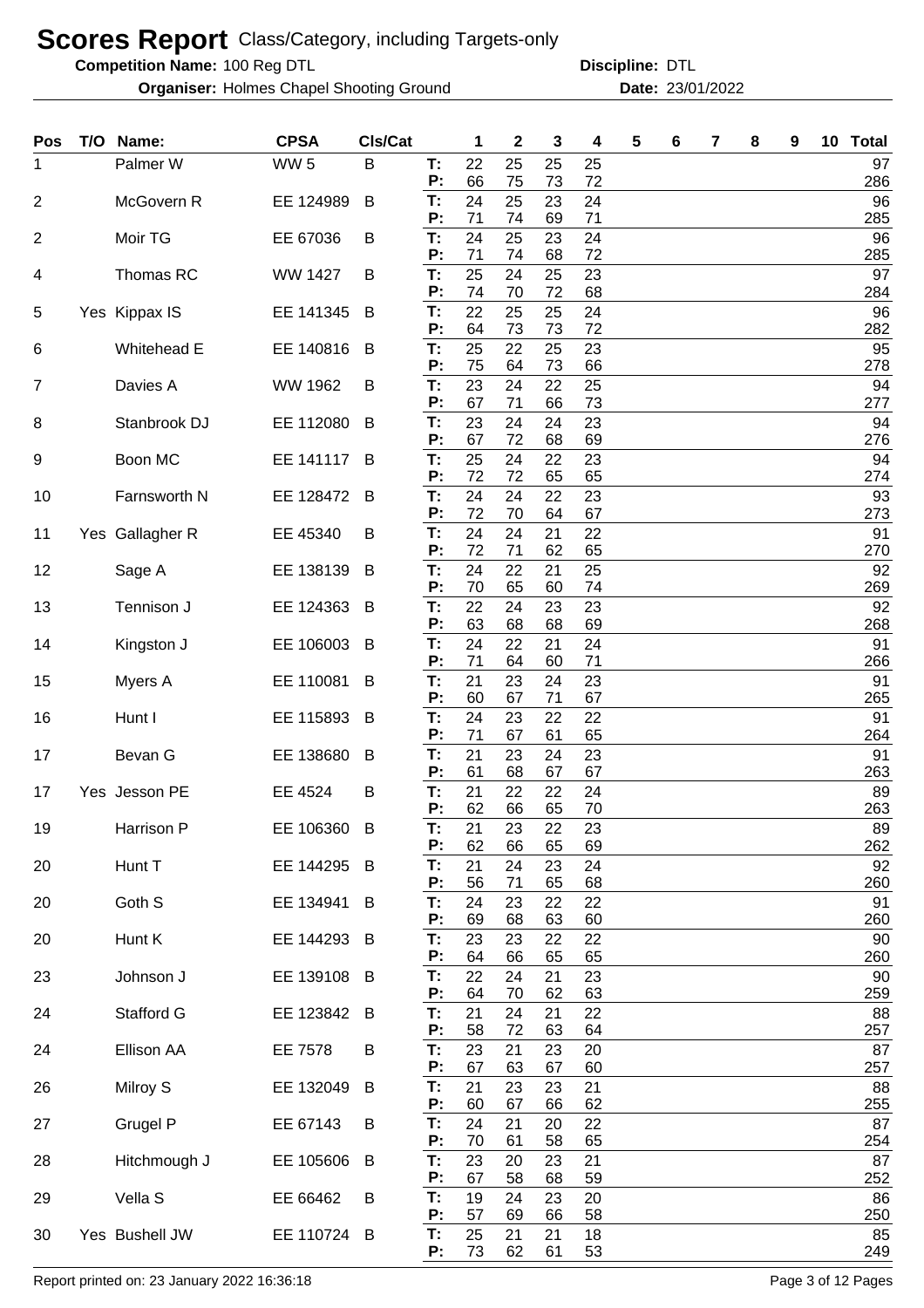**Competition Name:**

**Organiser:** Holmes Chapel Shooting Ground **23/01/2022 Date:** 23/01/2022

100 Reg DTL **Discipline:** DTL

| Pos            | T/O Name:       | <b>CPSA</b>     | CIs/Cat |          | 1        | 2        | 3        | 4        | 5 | 6 | 7 | 8 | 9 | 10 | <b>Total</b> |
|----------------|-----------------|-----------------|---------|----------|----------|----------|----------|----------|---|---|---|---|---|----|--------------|
| 1              | Palmer W        | WW <sub>5</sub> | B       | T:<br>P: | 22<br>66 | 25<br>75 | 25<br>73 | 25<br>72 |   |   |   |   |   |    | 97<br>286    |
| $\overline{2}$ | McGovern R      | EE 124989       | B       | T:       | 24       | 25       | 23       | 24       |   |   |   |   |   |    | 96           |
| 2              | Moir TG         | EE 67036        | B       | P:<br>T: | 71<br>24 | 74<br>25 | 69<br>23 | 71<br>24 |   |   |   |   |   |    | 285<br>96    |
|                |                 |                 |         | P:       | 71       | 74       | 68       | 72       |   |   |   |   |   |    | 285          |
| 4              | Thomas RC       | <b>WW 1427</b>  | B       | T:<br>P: | 25<br>74 | 24<br>70 | 25<br>72 | 23<br>68 |   |   |   |   |   |    | 97<br>284    |
| 5              | Yes Kippax IS   | EE 141345       | B       | T:       | 22       | 25       | 25       | 24       |   |   |   |   |   |    | 96           |
| 6              | Whitehead E     | EE 140816       | B       | P:<br>T: | 64<br>25 | 73<br>22 | 73<br>25 | 72<br>23 |   |   |   |   |   |    | 282<br>95    |
|                |                 |                 |         | P:       | 75       | 64       | 73       | 66       |   |   |   |   |   |    | 278          |
| 7              | Davies A        | WW 1962         | B       | T:<br>P: | 23<br>67 | 24<br>71 | 22<br>66 | 25<br>73 |   |   |   |   |   |    | 94<br>277    |
| 8              | Stanbrook DJ    | EE 112080       | B       | T:<br>P: | 23<br>67 | 24<br>72 | 24<br>68 | 23<br>69 |   |   |   |   |   |    | 94<br>276    |
| 9              | Boon MC         | EE 141117       | B       | T:       | 25       | 24       | 22       | 23       |   |   |   |   |   |    | 94           |
|                | Farnsworth N    | EE 128472       | B       | P:<br>T: | 72<br>24 | 72<br>24 | 65<br>22 | 65<br>23 |   |   |   |   |   |    | 274<br>93    |
| 10             |                 |                 |         | P:       | 72       | 70       | 64       | 67       |   |   |   |   |   |    | 273          |
| 11             | Yes Gallagher R | EE 45340        | B       | T:<br>P: | 24<br>72 | 24<br>71 | 21<br>62 | 22<br>65 |   |   |   |   |   |    | 91<br>270    |
| 12             | Sage A          | EE 138139       | B       | T:       | 24       | 22       | 21       | 25       |   |   |   |   |   |    | 92           |
| 13             | Tennison J      | EE 124363       | B       | P:<br>T: | 70<br>22 | 65<br>24 | 60<br>23 | 74<br>23 |   |   |   |   |   |    | 269<br>92    |
|                |                 |                 |         | P:       | 63       | 68       | 68       | 69       |   |   |   |   |   |    | 268          |
| 14             | Kingston J      | EE 106003       | B       | T:<br>P: | 24<br>71 | 22<br>64 | 21<br>60 | 24<br>71 |   |   |   |   |   |    | 91<br>266    |
| 15             | Myers A         | EE 110081       | B       | T:       | 21       | 23       | 24       | 23       |   |   |   |   |   |    | 91           |
| 16             | Hunt I          | EE 115893       | B       | P:<br>T: | 60<br>24 | 67<br>23 | 71<br>22 | 67<br>22 |   |   |   |   |   |    | 265<br>91    |
|                |                 |                 |         | P:       | 71       | 67       | 61       | 65       |   |   |   |   |   |    | 264          |
| 17             | Bevan G         | EE 138680       | B       | T:<br>P: | 21<br>61 | 23<br>68 | 24<br>67 | 23<br>67 |   |   |   |   |   |    | 91<br>263    |
| 17             | Yes Jesson PE   | EE 4524         | B       | T:       | 21       | 22       | 22       | 24       |   |   |   |   |   |    | 89           |
| 19             | Harrison P      | EE 106360 B     |         | P:<br>Т: | 62<br>21 | 66<br>23 | 65<br>22 | 70<br>23 |   |   |   |   |   |    | 263<br>89    |
|                |                 |                 |         | P:       | 62       | 66       | 65       | 69       |   |   |   |   |   |    | 262          |
| 20             | Hunt T          | EE 144295 B     |         | T:<br>P: | 21<br>56 | 24<br>71 | 23<br>65 | 24<br>68 |   |   |   |   |   |    | 92<br>260    |
| 20             | Goth S          | EE 134941       | B       | T:       | 24       | 23       | 22       | 22       |   |   |   |   |   |    | 91           |
| 20             | Hunt K          | EE 144293       | B       | P:<br>T: | 69<br>23 | 68<br>23 | 63<br>22 | 60<br>22 |   |   |   |   |   |    | 260<br>90    |
|                |                 |                 |         | P:       | 64       | 66       | 65       | 65       |   |   |   |   |   |    | 260          |
| 23             | Johnson J       | EE 139108 B     |         | T:<br>P: | 22<br>64 | 24<br>70 | 21<br>62 | 23<br>63 |   |   |   |   |   |    | 90<br>259    |
| 24             | Stafford G      | EE 123842       | B       | T:       | 21       | 24       | 21       | 22       |   |   |   |   |   |    | 88           |
| 24             | Ellison AA      | <b>EE 7578</b>  | B       | P:<br>T: | 58<br>23 | 72<br>21 | 63<br>23 | 64<br>20 |   |   |   |   |   |    | 257<br>87    |
|                |                 |                 |         | P:       | 67       | 63       | 67       | 60       |   |   |   |   |   |    | 257          |
| 26             | Milroy S        | EE 132049       | B       | T:<br>P: | 21<br>60 | 23<br>67 | 23<br>66 | 21<br>62 |   |   |   |   |   |    | 88<br>255    |
| 27             | Grugel P        | EE 67143        | B       | T:<br>P: | 24       | 21       | 20       | 22       |   |   |   |   |   |    | 87           |
| 28             | Hitchmough J    | EE 105606       | B       | T:       | 70<br>23 | 61<br>20 | 58<br>23 | 65<br>21 |   |   |   |   |   |    | 254<br>87    |
|                | Vella S         |                 |         | P:<br>T: | 67<br>19 | 58<br>24 | 68<br>23 | 59<br>20 |   |   |   |   |   |    | 252<br>86    |
| 29             |                 | EE 66462        | B       | P:       | 57       | 69       | 66       | 58       |   |   |   |   |   |    | 250          |
| 30             | Yes Bushell JW  | EE 110724 B     |         | T:<br>P: | 25<br>73 | 21<br>62 | 21<br>61 | 18<br>53 |   |   |   |   |   |    | 85<br>249    |

Report printed on: 23 January 2022 16:36:18 Page 3 of 12 Pages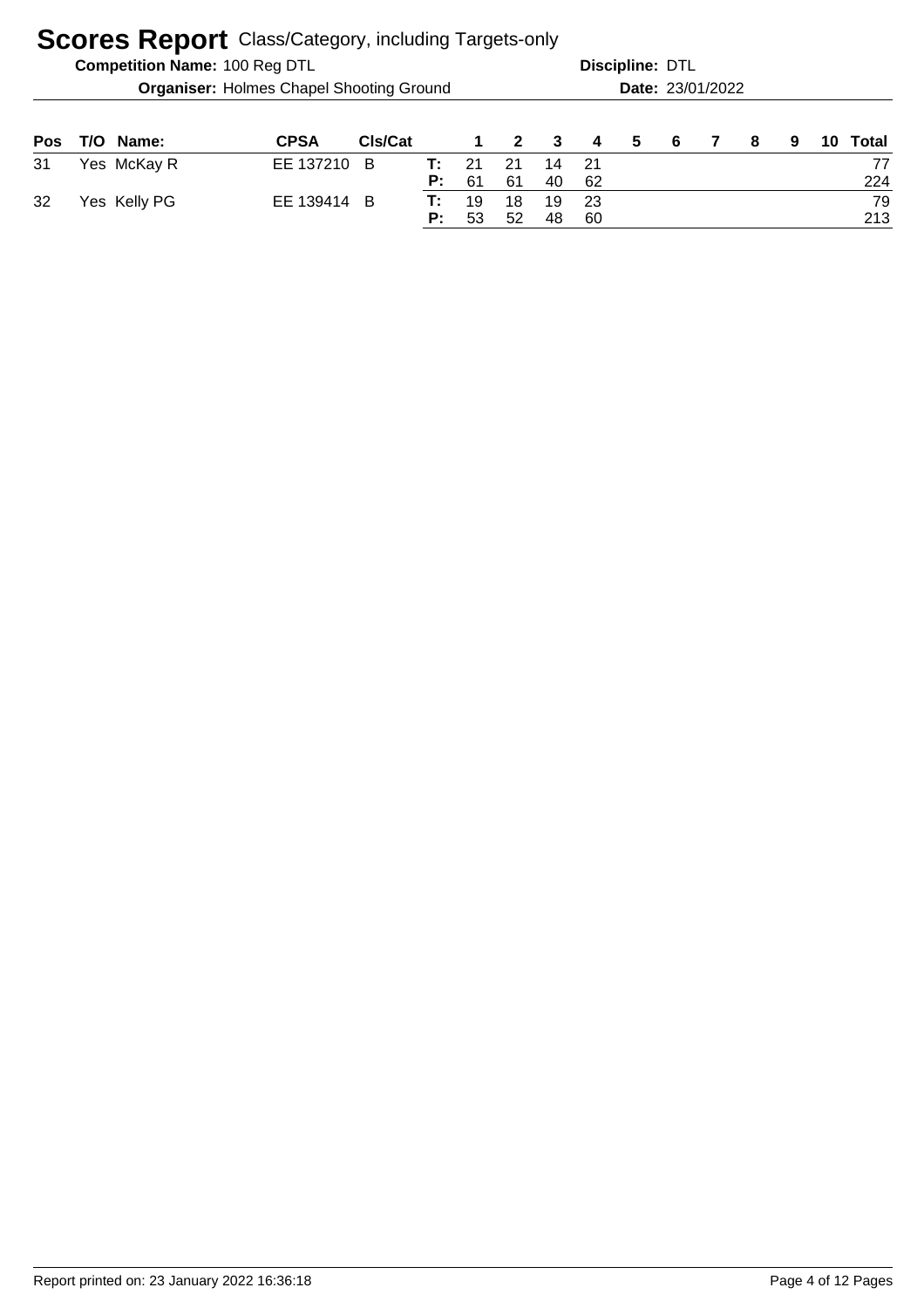|            |                                                 | <b>Competition Name: 100 Reg DTL</b> |             |         |          | Discipline: DTL |                         |          |             |   |    |                  |     |   |    |           |
|------------|-------------------------------------------------|--------------------------------------|-------------|---------|----------|-----------------|-------------------------|----------|-------------|---|----|------------------|-----|---|----|-----------|
|            | <b>Organiser: Holmes Chapel Shooting Ground</b> |                                      |             |         |          |                 |                         |          |             |   |    | Date: 23/01/2022 |     |   |    |           |
| <b>Pos</b> |                                                 | T/O Name:                            | <b>CPSA</b> | Cls/Cat |          | 1               | $\overline{\mathbf{2}}$ | 3        | 4           | 5 | -6 | $\mathbf{7}$     | - 8 | 9 | 10 | Total     |
| 31         |                                                 | Yes McKay R                          | EE 137210 B |         | т:<br>P: | 21<br>61        | 21<br>61                | 14<br>40 | - 21<br>-62 |   |    |                  |     |   |    | 77<br>224 |
| 32         |                                                 | Yes Kelly PG                         | EE 139414 B |         | т:<br>P: | 19<br>53        | 18<br>52                | 19<br>48 | -23<br>60   |   |    |                  |     |   |    | 79<br>213 |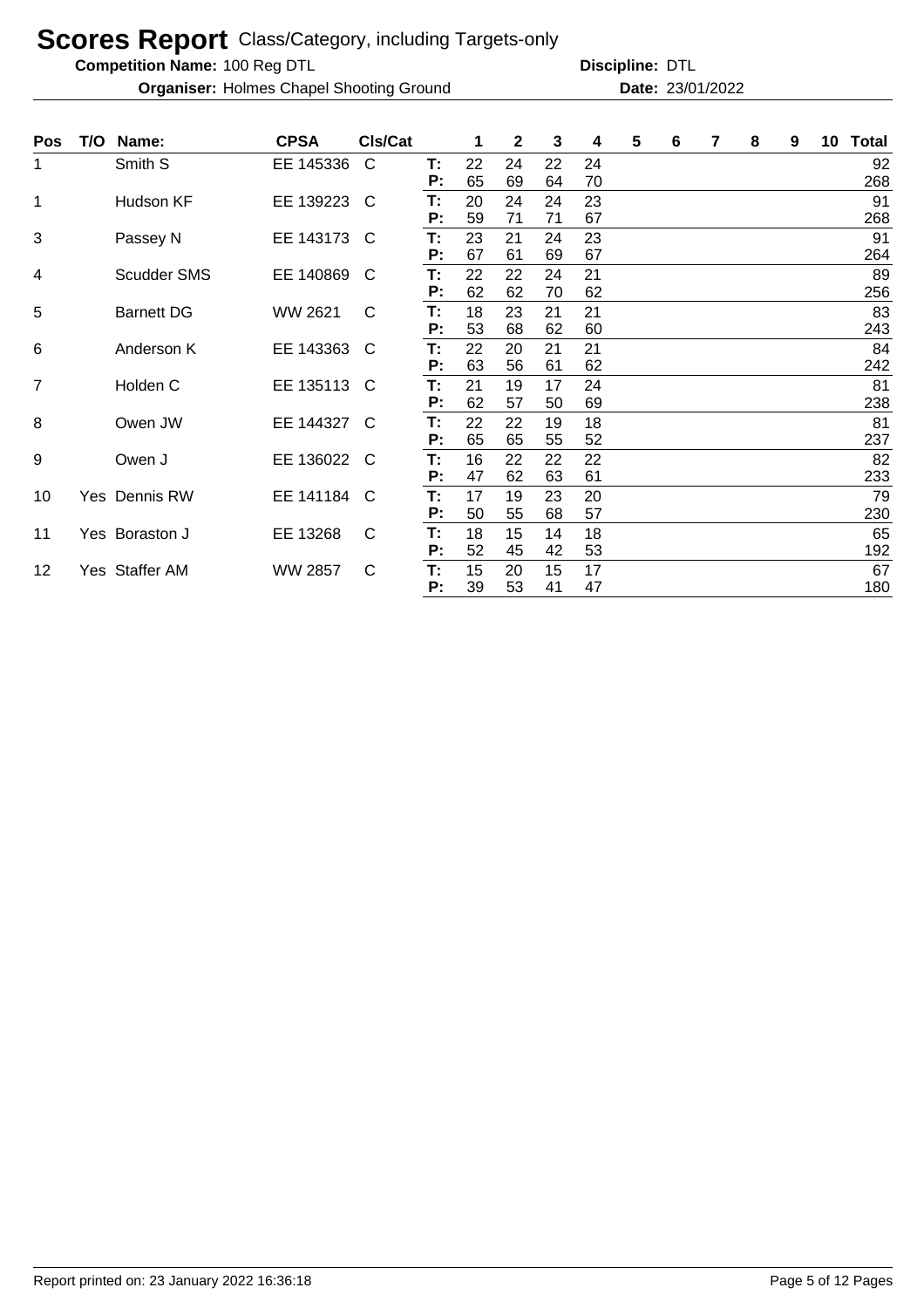**Competition Name:**

**Organiser:** Holmes Chapel Shooting Ground **23/01/2022 Date:** 23/01/2022

| <b>Pos</b>     | T/O | Name:              | <b>CPSA</b>    | CIs/Cat      |          |          | $\mathbf{2}$ | 3        | 4        | 5 | 6 | 7 | 8 | 9 | 10 | <b>Total</b> |
|----------------|-----|--------------------|----------------|--------------|----------|----------|--------------|----------|----------|---|---|---|---|---|----|--------------|
| 1              |     | Smith S            | EE 145336      | C            | Т:<br>P: | 22<br>65 | 24<br>69     | 22<br>64 | 24<br>70 |   |   |   |   |   |    | 92<br>268    |
| 1              |     | Hudson KF          | EE 139223      | C            | T:<br>P: | 20<br>59 | 24<br>71     | 24<br>71 | 23<br>67 |   |   |   |   |   |    | 91<br>268    |
| 3              |     | Passey N           | EE 143173      | C            | Т:<br>P: | 23<br>67 | 21<br>61     | 24<br>69 | 23<br>67 |   |   |   |   |   |    | 91<br>264    |
| 4              |     | <b>Scudder SMS</b> | EE 140869      | C            | Т:<br>Р: | 22<br>62 | 22<br>62     | 24<br>70 | 21<br>62 |   |   |   |   |   |    | 89<br>256    |
| 5              |     | <b>Barnett DG</b>  | WW 2621        | C            | T:<br>Р: | 18<br>53 | 23<br>68     | 21<br>62 | 21<br>60 |   |   |   |   |   |    | 83<br>243    |
| 6              |     | Anderson K         | EE 143363      | C            | Т:<br>P: | 22<br>63 | 20<br>56     | 21<br>61 | 21<br>62 |   |   |   |   |   |    | 84<br>242    |
| $\overline{7}$ |     | Holden C           | EE 135113      | C            | Т:<br>P: | 21<br>62 | 19<br>57     | 17<br>50 | 24<br>69 |   |   |   |   |   |    | 81<br>238    |
| 8              |     | Owen JW            | EE 144327      | <sup>C</sup> | T:<br>P: | 22<br>65 | 22<br>65     | 19<br>55 | 18<br>52 |   |   |   |   |   |    | 81<br>237    |
| 9              |     | Owen J             | EE 136022      | C            | Т:<br>P: | 16<br>47 | 22<br>62     | 22<br>63 | 22<br>61 |   |   |   |   |   |    | 82<br>233    |
| 10             |     | Yes Dennis RW      | EE 141184      | C            | Т:<br>P: | 17<br>50 | 19<br>55     | 23<br>68 | 20<br>57 |   |   |   |   |   |    | 79<br>230    |
| 11             |     | Yes Boraston J     | EE 13268       | $\mathsf{C}$ | T:<br>P: | 18<br>52 | 15<br>45     | 14<br>42 | 18<br>53 |   |   |   |   |   |    | 65<br>192    |
| 12             |     | Yes Staffer AM     | <b>WW 2857</b> | $\mathsf{C}$ | Т:<br>P: | 15<br>39 | 20<br>53     | 15<br>41 | 17<br>47 |   |   |   |   |   |    | 67<br>180    |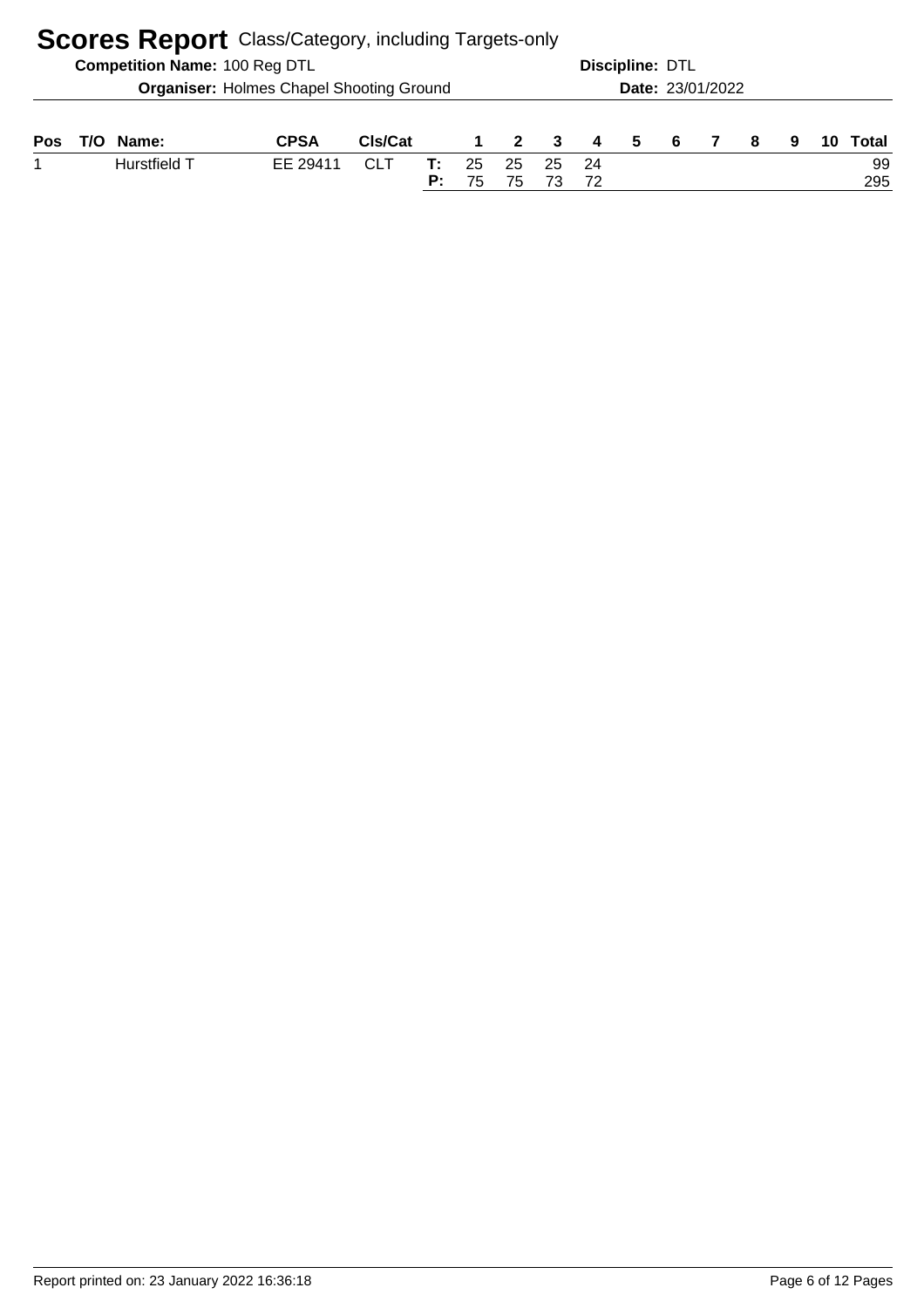| <b>Scores Report</b> Class/Category, including Targets-only |  |                                      |                                                 |                      |          |          |                |    |                |                         |                 |  |    |   |           |
|-------------------------------------------------------------|--|--------------------------------------|-------------------------------------------------|----------------------|----------|----------|----------------|----|----------------|-------------------------|-----------------|--|----|---|-----------|
|                                                             |  | <b>Competition Name: 100 Reg DTL</b> |                                                 |                      |          |          |                |    |                |                         | Discipline: DTL |  |    |   |           |
|                                                             |  |                                      | <b>Organiser: Holmes Chapel Shooting Ground</b> |                      |          |          |                |    |                | <b>Date: 23/01/2022</b> |                 |  |    |   |           |
| Pos                                                         |  | Name:                                | <b>CPSA</b>                                     | C <sub>Is</sub> /Cat |          |          | $\overline{2}$ | 3  | $\overline{4}$ | -5                      | - 6             |  | -8 | 9 | Total     |
|                                                             |  | Hurstfield T                         | EE 29411                                        | <b>CLT</b>           | т:<br>P: | 25<br>75 | 25<br>75       | 25 | 24<br>72       |                         |                 |  |    |   | 99<br>295 |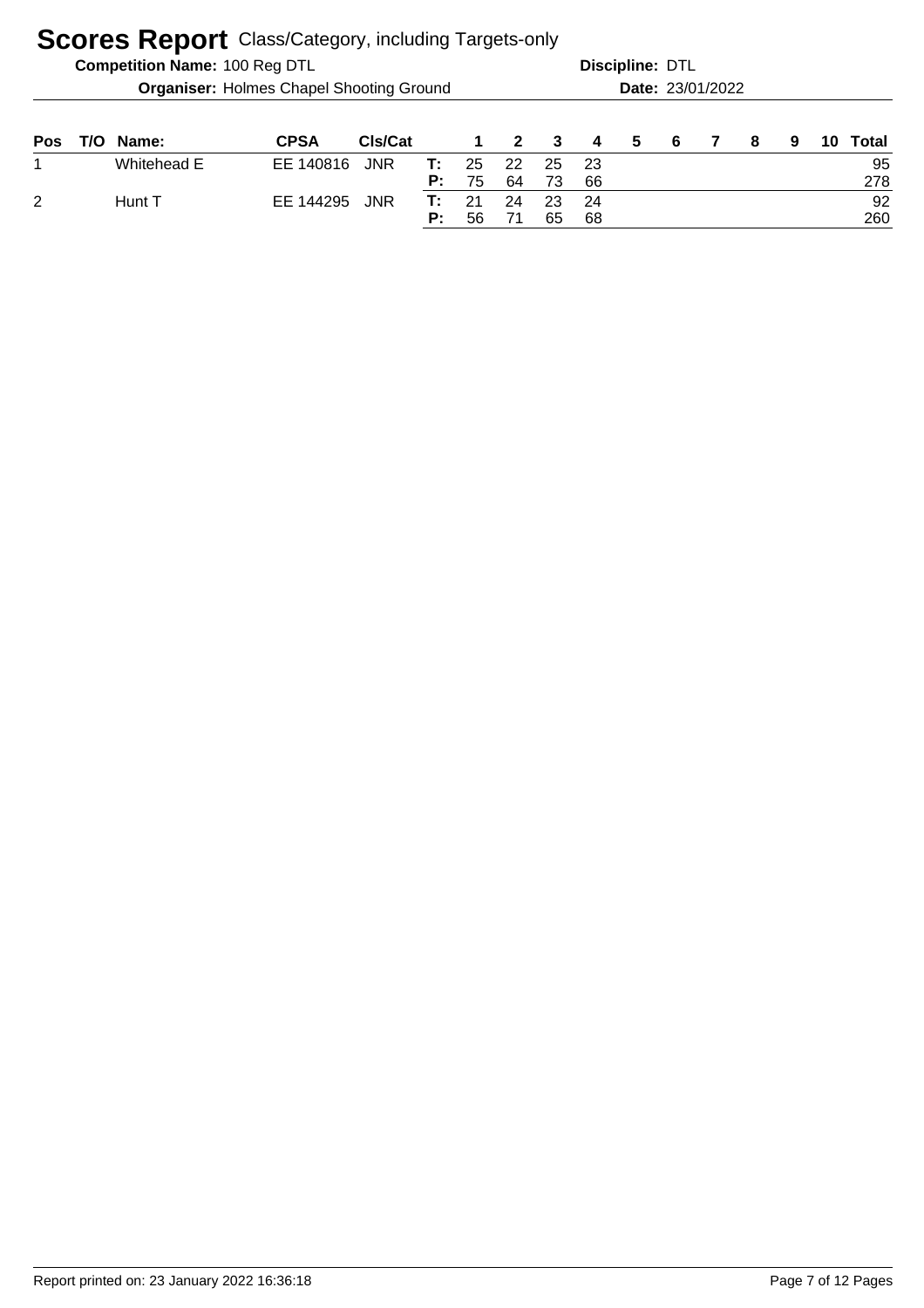|            |                                                 | <b>Competition Name: 100 Reg DTL</b> |             |            |          |          |              | Discipline: DTL |           |    |    |                  |    |   |    |           |
|------------|-------------------------------------------------|--------------------------------------|-------------|------------|----------|----------|--------------|-----------------|-----------|----|----|------------------|----|---|----|-----------|
|            | <b>Organiser: Holmes Chapel Shooting Ground</b> |                                      |             |            |          |          |              |                 |           |    |    | Date: 23/01/2022 |    |   |    |           |
| <b>Pos</b> | T/O                                             | Name:                                | <b>CPSA</b> | CIs/Cat    |          | 1        | $\mathbf{2}$ | 3               | 4         | 5. | -6 |                  | -8 | 9 | 10 | Total     |
| 1          |                                                 | Whitehead E                          | EE 140816   | <b>JNR</b> | т:<br>P: | 25<br>75 | 22<br>64     | 25<br>73        | -23<br>66 |    |    |                  |    |   |    | 95<br>278 |
| 2          |                                                 | Hunt T                               | EE 144295   | <b>JNR</b> | т:<br>Р: | 21<br>56 | 24<br>71     | 23<br>65        | 24<br>68  |    |    |                  |    |   |    | 92<br>260 |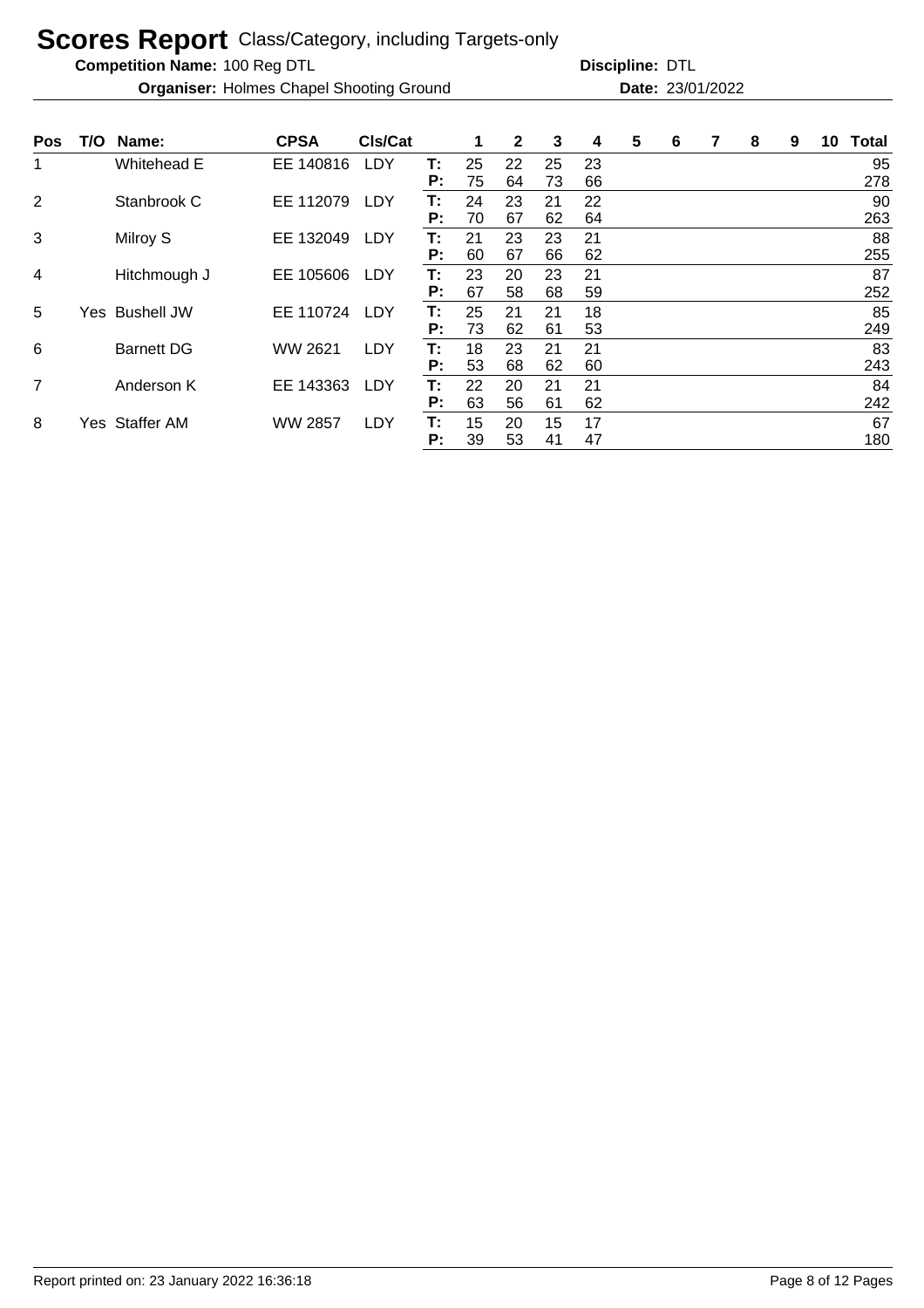**Competition Name:**

**Organiser:** Holmes Chapel Shooting Ground **23/01/2022 Date:** 23/01/2022

| <b>Pos</b>     |     | T/O Name:         | <b>CPSA</b>    | CIs/Cat    |          |          | $\mathbf{2}$ | 3        | 4        | 5 | 6 | 8 | 9 | 10 | <b>Total</b> |
|----------------|-----|-------------------|----------------|------------|----------|----------|--------------|----------|----------|---|---|---|---|----|--------------|
| 1              |     | Whitehead E       | EE 140816      | LDY        | T:<br>P: | 25<br>75 | 22<br>64     | 25<br>73 | 23<br>66 |   |   |   |   |    | 95<br>278    |
| 2              |     | Stanbrook C       | EE 112079      | <b>LDY</b> | T:<br>P: | 24<br>70 | 23<br>67     | 21<br>62 | 22<br>64 |   |   |   |   |    | 90<br>263    |
| 3              |     | Milroy S          | EE 132049      | LDY        | Т:<br>P: | 21<br>60 | 23<br>67     | 23<br>66 | 21<br>62 |   |   |   |   |    | 88<br>255    |
| 4              |     | Hitchmough J      | EE 105606      | LDY        | Т:<br>P: | 23<br>67 | 20<br>58     | 23<br>68 | 21<br>59 |   |   |   |   |    | 87<br>252    |
| 5              | Yes | <b>Bushell JW</b> | EE 110724      | LDY        | Т:<br>P: | 25<br>73 | 21<br>62     | 21<br>61 | 18<br>53 |   |   |   |   |    | 85<br>249    |
| 6              |     | <b>Barnett DG</b> | WW 2621        | LDY        | Т:<br>P: | 18<br>53 | 23<br>68     | 21<br>62 | 21<br>60 |   |   |   |   |    | 83<br>243    |
| $\overline{7}$ |     | Anderson K        | EE 143363      | LDY        | T:<br>P: | 22<br>63 | 20<br>56     | 21<br>61 | 21<br>62 |   |   |   |   |    | 84<br>242    |
| 8              |     | Yes Staffer AM    | <b>WW 2857</b> | LDY        | T:<br>P: | 15<br>39 | 20<br>53     | 15<br>41 | 17<br>47 |   |   |   |   |    | 67<br>180    |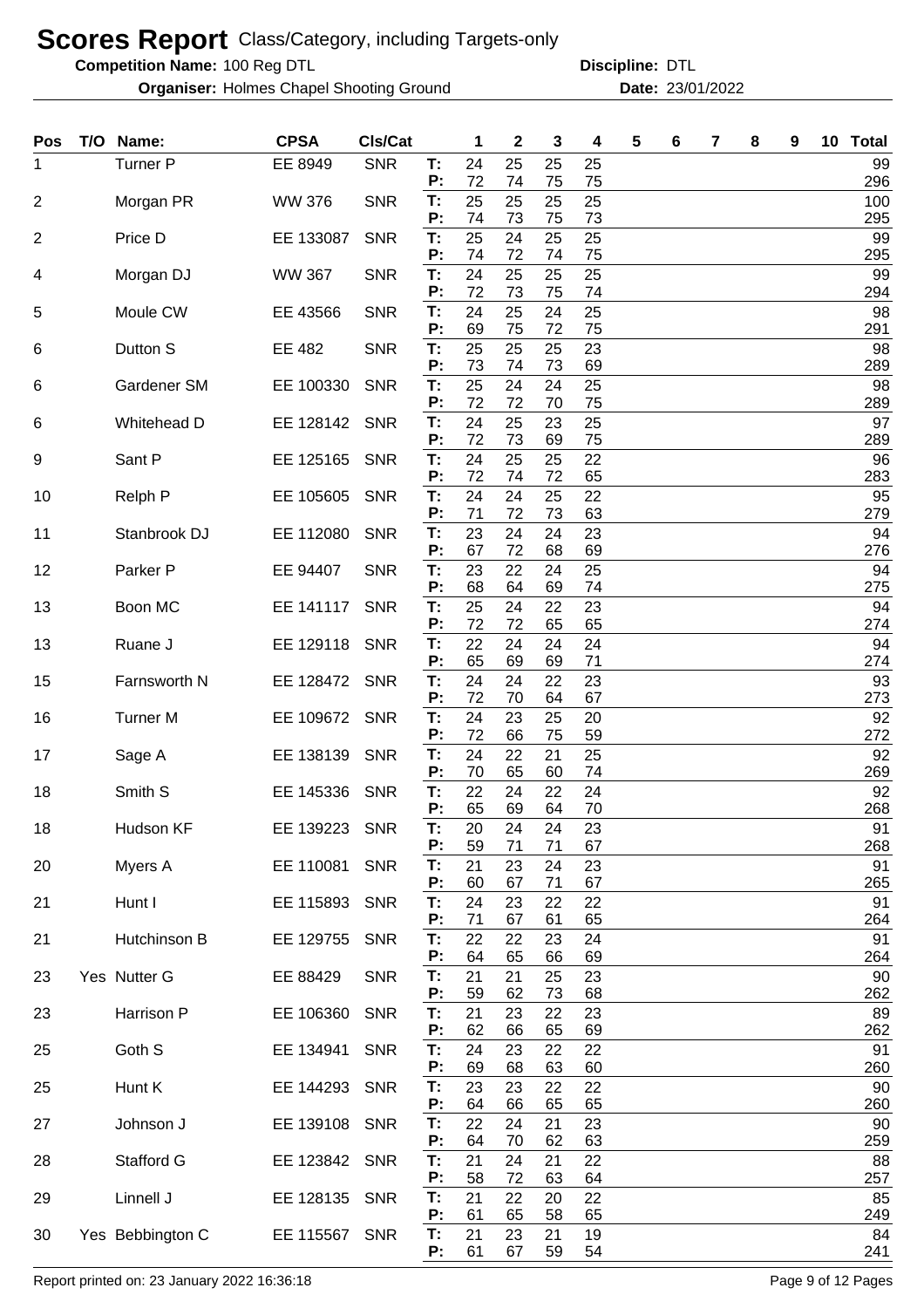**Competition Name:**

**Organiser:** Holmes Chapel Shooting Ground **23/01/2022 Date:** 23/01/2022

100 Reg DTL **Discipline:** DTL

| <b>Pos</b>     | T/O Name:        | <b>CPSA</b>   | CIs/Cat    |          | 1        | 2        | 3        | 4        | 5 | 6 | 7 | 8 | 9 | 10 Total   |
|----------------|------------------|---------------|------------|----------|----------|----------|----------|----------|---|---|---|---|---|------------|
| 1              | Turner P         | EE 8949       | <b>SNR</b> | T:<br>Ρ. | 24<br>72 | 25<br>74 | 25<br>75 | 25<br>75 |   |   |   |   |   | 99<br>296  |
| $\overline{2}$ | Morgan PR        | <b>WW 376</b> | <b>SNR</b> | T:<br>Ρ. | 25<br>74 | 25<br>73 | 25<br>75 | 25<br>73 |   |   |   |   |   | 100<br>295 |
| $\overline{2}$ | Price D          | EE 133087     | <b>SNR</b> | T:       | 25       | 24       | 25       | 25       |   |   |   |   |   | 99         |
| 4              | Morgan DJ        | <b>WW 367</b> | <b>SNR</b> | P:<br>T: | 74<br>24 | 72<br>25 | 74<br>25 | 75<br>25 |   |   |   |   |   | 295<br>99  |
| 5              | Moule CW         | EE 43566      | <b>SNR</b> | P:<br>T: | 72<br>24 | 73<br>25 | 75<br>24 | 74<br>25 |   |   |   |   |   | 294<br>98  |
|                |                  |               |            | P:<br>T: | 69       | 75       | 72       | 75       |   |   |   |   |   | 291        |
| 6              | Dutton S         | EE 482        | <b>SNR</b> | Р:       | 25<br>73 | 25<br>74 | 25<br>73 | 23<br>69 |   |   |   |   |   | 98<br>289  |
| 6              | Gardener SM      | EE 100330     | <b>SNR</b> | T:<br>Р: | 25<br>72 | 24<br>72 | 24<br>70 | 25<br>75 |   |   |   |   |   | 98<br>289  |
| 6              | Whitehead D      | EE 128142     | <b>SNR</b> | T:<br>P: | 24<br>72 | 25<br>73 | 23<br>69 | 25<br>75 |   |   |   |   |   | 97<br>289  |
| 9              | Sant P           | EE 125165     | <b>SNR</b> | T:       | 24       | 25       | 25       | 22       |   |   |   |   |   | 96         |
| 10             | Relph P          | EE 105605     | <b>SNR</b> | Ρ.<br>T: | 72<br>24 | 74<br>24 | 72<br>25 | 65<br>22 |   |   |   |   |   | 283<br>95  |
| 11             | Stanbrook DJ     | EE 112080     | <b>SNR</b> | P:<br>T: | 71<br>23 | 72<br>24 | 73<br>24 | 63<br>23 |   |   |   |   |   | 279<br>94  |
|                |                  |               |            | P:       | 67       | 72       | 68       | 69       |   |   |   |   |   | 276        |
| 12             | Parker P         | EE 94407      | <b>SNR</b> | T:<br>P: | 23<br>68 | 22<br>64 | 24<br>69 | 25<br>74 |   |   |   |   |   | 94<br>275  |
| 13             | Boon MC          | EE 141117     | <b>SNR</b> | Т:<br>Р: | 25<br>72 | 24<br>72 | 22<br>65 | 23<br>65 |   |   |   |   |   | 94<br>274  |
| 13             | Ruane J          | EE 129118     | <b>SNR</b> | T:       | 22       | 24       | 24       | 24       |   |   |   |   |   | 94         |
| 15             | Farnsworth N     | EE 128472     | <b>SNR</b> | P:<br>T: | 65<br>24 | 69<br>24 | 69<br>22 | 71<br>23 |   |   |   |   |   | 274<br>93  |
| 16             | <b>Turner M</b>  | EE 109672     | <b>SNR</b> | Ρ.<br>T: | 72<br>24 | 70<br>23 | 64<br>25 | 67<br>20 |   |   |   |   |   | 273<br>92  |
|                |                  |               |            | P:       | 72       | 66       | 75       | 59       |   |   |   |   |   | 272        |
| 17             | Sage A           | EE 138139     | <b>SNR</b> | T:<br>Ρ: | 24<br>70 | 22<br>65 | 21<br>60 | 25<br>74 |   |   |   |   |   | 92<br>269  |
| 18             | Smith S          | EE 145336     | <b>SNR</b> | T:<br>P: | 22<br>65 | 24<br>69 | 22<br>64 | 24<br>70 |   |   |   |   |   | 92<br>268  |
| 18             | Hudson KF        | EE 139223     | <b>SNR</b> | Т:       | 20       | 24       | 24       | 23       |   |   |   |   |   | 91         |
| 20             | Myers A          | EE 110081     | <b>SNR</b> | P:<br>T: | 59<br>21 | 71<br>23 | 71<br>24 | 67<br>23 |   |   |   |   |   | 268<br>91  |
| 21             | Hunt I           | EE 115893     | <b>SNR</b> | Ρ.<br>T: | 60<br>24 | 67<br>23 | 71<br>22 | 67<br>22 |   |   |   |   |   | 265<br>91  |
|                |                  |               |            | Ρ.       | 71       | 67       | 61       | 65       |   |   |   |   |   | 264        |
| 21             | Hutchinson B     | EE 129755     | <b>SNR</b> | T:<br>Р: | 22<br>64 | 22<br>65 | 23<br>66 | 24<br>69 |   |   |   |   |   | 91<br>264  |
| 23             | Yes Nutter G     | EE 88429      | <b>SNR</b> | T:       | 21<br>59 | 21<br>62 | 25       | 23       |   |   |   |   |   | 90         |
| 23             | Harrison P       | EE 106360     | <b>SNR</b> | Р:<br>T: | 21       | 23       | 73<br>22 | 68<br>23 |   |   |   |   |   | 262<br>89  |
| 25             | Goth S           | EE 134941     | <b>SNR</b> | P:<br>T: | 62<br>24 | 66<br>23 | 65<br>22 | 69<br>22 |   |   |   |   |   | 262<br>91  |
|                |                  |               |            | Ρ:       | 69       | 68       | 63       | 60       |   |   |   |   |   | 260        |
| 25             | Hunt K           | EE 144293     | <b>SNR</b> | T:<br>Ρ: | 23<br>64 | 23<br>66 | 22<br>65 | 22<br>65 |   |   |   |   |   | 90<br>260  |
| 27             | Johnson J        | EE 139108     | <b>SNR</b> | T:<br>Ρ: | 22<br>64 | 24<br>70 | 21<br>62 | 23<br>63 |   |   |   |   |   | 90<br>259  |
| 28             | Stafford G       | EE 123842 SNR |            | T:       | 21       | 24       | 21       | 22       |   |   |   |   |   | 88         |
| 29             | Linnell J        | EE 128135     | <b>SNR</b> | Ρ:<br>T: | 58<br>21 | 72<br>22 | 63<br>20 | 64<br>22 |   |   |   |   |   | 257<br>85  |
| 30             | Yes Bebbington C | EE 115567 SNR |            | P:<br>T: | 61<br>21 | 65<br>23 | 58<br>21 | 65<br>19 |   |   |   |   |   | 249<br>84  |
|                |                  |               |            | Ρ:       | 61       | 67       | 59       | 54       |   |   |   |   |   | 241        |

Report printed on: 23 January 2022 16:36:18 Page 9 of 12 Pages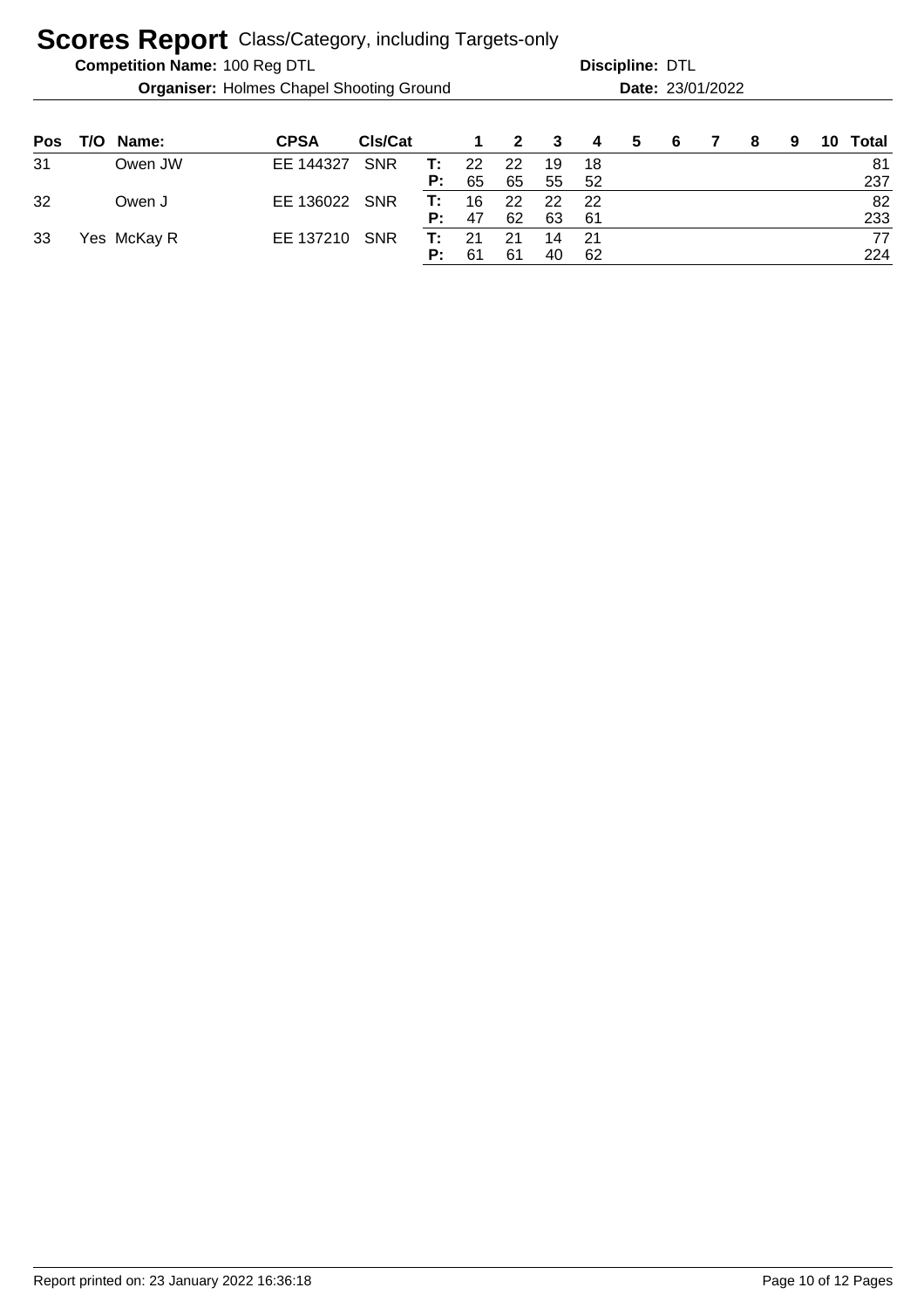| <b>Competition Name: 100 Reg DTL</b> |  |
|--------------------------------------|--|

**Organiser:** Holmes Chapel Shooting Ground **23/01/2022 Date:** 23/01/2022

| Pos | T/O Name:   | <b>CPSA</b>   | CIs/Cat    |    | $\overline{1}$ | 2  | 3  | $\overline{4}$ | 5 | - 6 | 7 | -8 | 9 | 10 Total |
|-----|-------------|---------------|------------|----|----------------|----|----|----------------|---|-----|---|----|---|----------|
| 31  | Owen JW     | EE 144327     | <b>SNR</b> | T: | 22             | 22 | 19 | -18            |   |     |   |    |   | 81       |
|     |             |               |            | P: | 65             | 65 | 55 | - 52           |   |     |   |    |   | 237      |
| 32  | Owen J      | EE 136022 SNR |            | T: | 16             | 22 | 22 | - 22           |   |     |   |    |   | 82       |
|     |             |               |            | P: | 47             | 62 | 63 | -61            |   |     |   |    |   | 233      |
| 33  | Yes McKay R | EE 137210     | <b>SNR</b> | T: | -21            | 21 | 14 | - 21           |   |     |   |    |   | 77       |
|     |             |               |            | P: | 61             | 61 | 40 | -62            |   |     |   |    |   | 224      |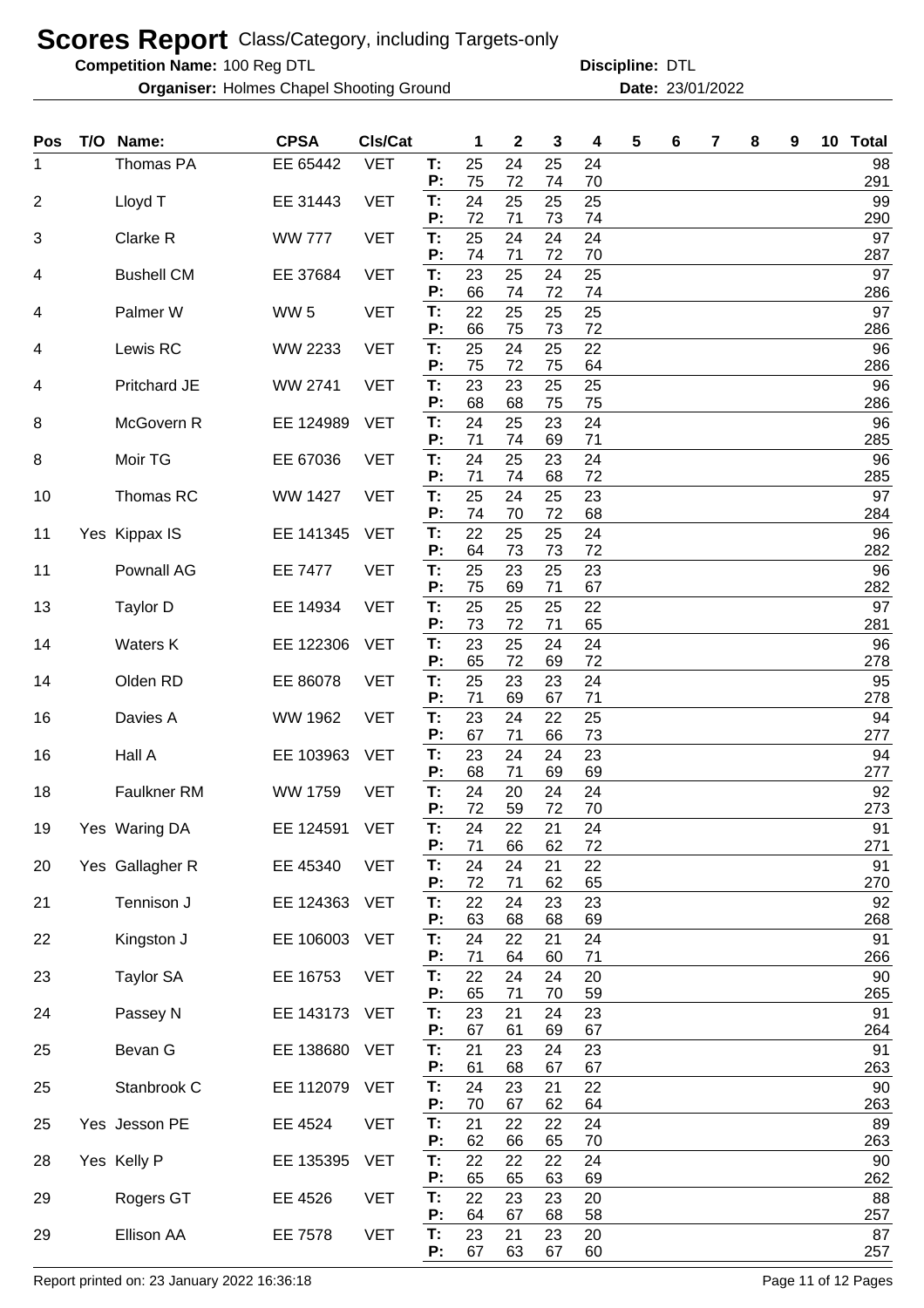**Competition Name:**

**Organiser:** Holmes Chapel Shooting Ground **23/01/2022 Date:** 23/01/2022

| Pos            | T/O | Name:             | <b>CPSA</b>     | CIs/Cat    |          | 1        | 2        | 3        | 4        | 5 | 6 | 7 | 8 | 9 | 10 Total  |
|----------------|-----|-------------------|-----------------|------------|----------|----------|----------|----------|----------|---|---|---|---|---|-----------|
| 1              |     | Thomas PA         | EE 65442        | <b>VET</b> | T:<br>P: | 25<br>75 | 24<br>72 | 25<br>74 | 24<br>70 |   |   |   |   |   | 98<br>291 |
| $\overline{2}$ |     | Lloyd T           | EE 31443        | <b>VET</b> | T:       | 24<br>72 | 25       | 25       | 25       |   |   |   |   |   | 99<br>290 |
| 3              |     | Clarke R          | <b>WW 777</b>   | <b>VET</b> | P:<br>T: | 25       | 71<br>24 | 73<br>24 | 74<br>24 |   |   |   |   |   | 97        |
| 4              |     | <b>Bushell CM</b> | EE 37684        | <b>VET</b> | P:<br>T: | 74<br>23 | 71<br>25 | 72<br>24 | 70<br>25 |   |   |   |   |   | 287<br>97 |
| 4              |     | Palmer W          | WW <sub>5</sub> | <b>VET</b> | P:<br>T: | 66<br>22 | 74<br>25 | 72<br>25 | 74<br>25 |   |   |   |   |   | 286<br>97 |
| 4              |     | Lewis RC          | WW 2233         | <b>VET</b> | P:<br>T: | 66<br>25 | 75<br>24 | 73<br>25 | 72<br>22 |   |   |   |   |   | 286<br>96 |
|                |     |                   |                 |            | P:       | 75       | 72       | 75       | 64       |   |   |   |   |   | 286       |
| 4              |     | Pritchard JE      | WW 2741         | <b>VET</b> | T:<br>P: | 23<br>68 | 23<br>68 | 25<br>75 | 25<br>75 |   |   |   |   |   | 96<br>286 |
| 8              |     | McGovern R        | EE 124989       | <b>VET</b> | T:<br>P: | 24<br>71 | 25<br>74 | 23<br>69 | 24<br>71 |   |   |   |   |   | 96<br>285 |
| 8              |     | Moir TG           | EE 67036        | <b>VET</b> | T:<br>P: | 24<br>71 | 25<br>74 | 23<br>68 | 24<br>72 |   |   |   |   |   | 96<br>285 |
| 10             |     | Thomas RC         | <b>WW 1427</b>  | <b>VET</b> | T:       | 25       | 24       | 25       | 23       |   |   |   |   |   | 97        |
| 11             |     | Yes Kippax IS     | EE 141345       | <b>VET</b> | P:<br>T: | 74<br>22 | 70<br>25 | 72<br>25 | 68<br>24 |   |   |   |   |   | 284<br>96 |
| 11             |     | Pownall AG        | <b>EE 7477</b>  | <b>VET</b> | P:<br>T: | 64<br>25 | 73<br>23 | 73<br>25 | 72<br>23 |   |   |   |   |   | 282<br>96 |
|                |     |                   |                 |            | P:       | 75       | 69       | 71       | 67       |   |   |   |   |   | 282       |
| 13             |     | Taylor D          | EE 14934        | <b>VET</b> | T:<br>P: | 25<br>73 | 25<br>72 | 25<br>71 | 22<br>65 |   |   |   |   |   | 97<br>281 |
| 14             |     | Waters K          | EE 122306       | <b>VET</b> | T:<br>P: | 23<br>65 | 25<br>72 | 24<br>69 | 24<br>72 |   |   |   |   |   | 96<br>278 |
| 14             |     | Olden RD          | EE 86078        | <b>VET</b> | T:<br>P: | 25<br>71 | 23<br>69 | 23<br>67 | 24<br>71 |   |   |   |   |   | 95<br>278 |
| 16             |     | Davies A          | WW 1962         | <b>VET</b> | T:       | 23       | 24       | 22       | 25       |   |   |   |   |   | 94        |
| 16             |     | Hall A            | EE 103963       | <b>VET</b> | P:<br>T: | 67<br>23 | 71<br>24 | 66<br>24 | 73<br>23 |   |   |   |   |   | 277<br>94 |
| 18             |     | Faulkner RM       | <b>WW 1759</b>  | <b>VET</b> | Ρ.<br>T: | 68<br>24 | 71<br>20 | 69<br>24 | 69<br>24 |   |   |   |   |   | 277<br>92 |
|                |     |                   |                 |            | P:       | 72       | 59       | 72       | 70       |   |   |   |   |   | 273       |
| 19             |     | Yes Waring DA     | EE 124591       | <b>VET</b> | Т.<br>P: | 24<br>71 | 22<br>66 | 21<br>62 | 24<br>72 |   |   |   |   |   | 91<br>271 |
| 20             |     | Yes Gallagher R   | EE 45340        | <b>VET</b> | T:<br>P: | 24<br>72 | 24<br>71 | 21<br>62 | 22<br>65 |   |   |   |   |   | 91<br>270 |
| 21             |     | Tennison J        | EE 124363       | <b>VET</b> | T:       | 22       | 24       | 23       | 23       |   |   |   |   |   | 92        |
| 22             |     | Kingston J        | EE 106003       | <b>VET</b> | P:<br>T: | 63<br>24 | 68<br>22 | 68<br>21 | 69<br>24 |   |   |   |   |   | 268<br>91 |
| 23             |     | <b>Taylor SA</b>  | EE 16753        | <b>VET</b> | P:<br>T: | 71<br>22 | 64<br>24 | 60<br>24 | 71<br>20 |   |   |   |   |   | 266<br>90 |
|                |     |                   |                 |            | P:       | 65       | 71       | 70       | 59       |   |   |   |   |   | 265       |
| 24             |     | Passey N          | EE 143173       | <b>VET</b> | T:<br>Р: | 23<br>67 | 21<br>61 | 24<br>69 | 23<br>67 |   |   |   |   |   | 91<br>264 |
| 25             |     | Bevan G           | EE 138680       | <b>VET</b> | T:<br>P: | 21<br>61 | 23<br>68 | 24<br>67 | 23<br>67 |   |   |   |   |   | 91<br>263 |
| 25             |     | Stanbrook C       | EE 112079       | <b>VET</b> | T:<br>P: | 24<br>70 | 23<br>67 | 21<br>62 | 22<br>64 |   |   |   |   |   | 90<br>263 |
| 25             |     | Yes Jesson PE     | EE 4524         | <b>VET</b> | T:       | 21       | 22       | 22       | 24       |   |   |   |   |   | 89        |
| 28             |     | Yes Kelly P       | EE 135395       | <b>VET</b> | P:<br>T: | 62<br>22 | 66<br>22 | 65<br>22 | 70<br>24 |   |   |   |   |   | 263<br>90 |
| 29             |     | Rogers GT         | EE 4526         | <b>VET</b> | P:<br>T: | 65<br>22 | 65<br>23 | 63<br>23 | 69<br>20 |   |   |   |   |   | 262<br>88 |
|                |     |                   |                 |            | P:       | 64       | 67       | 68       | 58       |   |   |   |   |   | 257       |
| 29             |     | Ellison AA        | EE 7578         | <b>VET</b> | T:<br>P: | 23<br>67 | 21<br>63 | 23<br>67 | 20<br>60 |   |   |   |   |   | 87<br>257 |